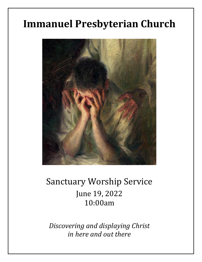# **Immanuel Presbyterian Church**



## Sanctuary Worship Service June 19, 2022 10:00am

*Discovering and displaying Christ in here and out there*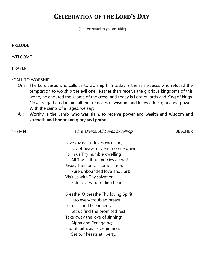## **CELEBRATION OF THE LORD'S DAY**

(\*Please stand as you are able)

PRELUDE

| <b>WELCOME</b> |                                                                                                                                                                                                                                                                                                                                                                                                                                                                                                                 |
|----------------|-----------------------------------------------------------------------------------------------------------------------------------------------------------------------------------------------------------------------------------------------------------------------------------------------------------------------------------------------------------------------------------------------------------------------------------------------------------------------------------------------------------------|
| <b>PRAYER</b>  |                                                                                                                                                                                                                                                                                                                                                                                                                                                                                                                 |
| All:           | *CALL TO WORSHIP<br>One: The Lord Jesus who calls us to worship him today is the same Jesus who refused the<br>temptation to worship the evil one. Rather than receive the glorious kingdoms of this<br>world, he endured the shame of the cross, and today is Lord of lords and King of kings.<br>Now are gathered in him all the treasures of wisdom and knowledge, glory and power.<br>With the saints of all ages, we say:<br>Worthy is the Lamb, who was slain, to receive power and wealth and wisdom and |
|                | strength and honor and glory and praise!                                                                                                                                                                                                                                                                                                                                                                                                                                                                        |
| *HYMN          | Love Divine, All Loves Excelling<br><b>BEECHER</b>                                                                                                                                                                                                                                                                                                                                                                                                                                                              |
|                | Love divine, all loves excelling,<br>Joy of heaven to earth come down,<br>Fix in us Thy humble dwelling,<br>All Thy faithful mercies crown!<br>Jesus, Thou art all compassion,<br>Pure unbounded love Thou art;<br>Visit us with Thy salvation,<br>Enter every trembling heart.                                                                                                                                                                                                                                 |
|                | Breathe, O breathe Thy loving Spirit<br>Into every troubled breast!<br>Let us all in Thee inherit,<br>Let us find the promised rest;<br>Take away the love of sinning;<br>Alpha and Omega be;                                                                                                                                                                                                                                                                                                                   |

End of faith, as its beginning, Set our hearts at liberty.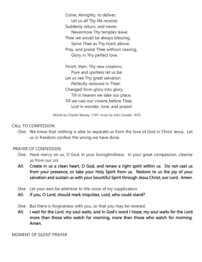Come, Almighty, to deliver; Let us all Thy life receive; Suddenly return, and never, Nevermore Thy temples leave. Thee we would be always blessing, Serve Thee as Thy hosts above; Pray, and praise Thee without ceasing, Glory in Thy perfect love.

Finish, then, Thy new creation; Pure and spotless let us be; Let us see Thy great salvation Perfectly restored in Thee! Changed from glory into glory, Till in heaven we take our place, Till we cast our crowns before Thee, Lost in wonder, love, and praise!

Words by Charles Wesley, 1747; music by John Zundel, 1870.

### CALL TO CONFESSION

One: We know that nothing is able to separate us from the love of God in Christ Jesus. Let us in freedom confess the wrong we have done.

### PRAYER OF CONFESSION

- One: Have mercy on us, O God, in your lovingkindness. In your great compassion, cleanse us from our sin.
- All: Create in us a clean heart, O God, and renew a right spirit within us. Do not cast us from your presence, or take your Holy Spirit from us. Restore to us the joy of your salvation and sustain us with your bountiful Spirit through Jesus Christ, our Lord. Amen.
- One: Let your ears be attentive to the voice of my supplication.
- All: If you, O Lord, should mark iniquities, Lord, who could stand?
- One: But there is forgiveness with you, so that you may be revered.
- All: I wait for the Lord, my soul waits, and in God's word I hope; my soul waits for the Lord more than those who watch for morning, more than those who watch for morning. Amen.

### MOMENT OF SILENT PRAYER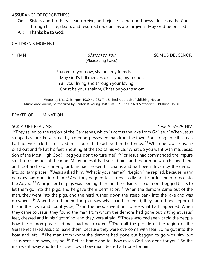#### ASSURANCE OF FORGIVENESS

One: Sisters and brothers, hear, receive, and rejoice in the good news. In Jesus the Christ, through his life, death, and resurrection, our sins are forgiven. May God be praised!

#### All: Thanks be to God!

CHILDREN'S MOMENT

(Please sing twice)

\*HYMN  $\sim$  Shalom to You SOMOS DEL SEÑOR

Shalom to you now, shalom, my friends. May God's full mercies bless you, my friends. In all your living and through your loving, Christ be your shalom, Christ be your shalom

Words by Elise S. Eslinger, 1980; ©1983 The United Methodist Publishing House. Music: anonymous, harmonized by Carlton R. Young, 1989. ©1989 The United Methodist Publishing House.

#### PRAYER OF ILLUMINATION

#### SCRIPTURE READING  $\overline{S}$   $\overline{S}$   $\overline{S}$   $\overline{S}$   $\overline{S}$   $\overline{S}$   $\overline{S}$   $\overline{S}$   $\overline{S}$   $\overline{S}$   $\overline{S}$   $\overline{S}$   $\overline{S}$   $\overline{S}$   $\overline{S}$   $\overline{S}$   $\overline{S}$   $\overline{S}$   $\overline{S}$   $\overline{S}$   $\overline{S}$   $\overline{S}$   $\overline{$

 $26$  They sailed to the region of the Gerasenes, which is across the lake from Galilee.  $27$  When Jesus stepped ashore, he was met by a demon-possessed man from the town. For a long time this man had not worn clothes or lived in a house, but had lived in the tombs. <sup>28</sup> When he saw Jesus, he cried out and fell at his feet, shouting at the top of his voice, "What do you want with me, Jesus, Son of the Most High God? I beg you, don't torture me!" <sup>29</sup> For Jesus had commanded the impure spirit to come out of the man. Many times it had seized him, and though he was chained hand and foot and kept under guard, he had broken his chains and had been driven by the demon into solitary places. <sup>30</sup> Jesus asked him, "What is your name?" "Legion," he replied, because many demons had gone into him. <sup>31</sup> And they begged Jesus repeatedly not to order them to go into the Abyss. <sup>32</sup> A large herd of pigs was feeding there on the hillside. The demons begged Jesus to let them go into the pigs, and he gave them permission.  $33$  When the demons came out of the man, they went into the pigs, and the herd rushed down the steep bank into the lake and was drowned. <sup>34</sup> When those tending the pigs saw what had happened, they ran off and reported this in the town and countryside,  $35$  and the people went out to see what had happened. When they came to Jesus, they found the man from whom the demons had gone out, sitting at Jesus' feet, dressed and in his right mind; and they were afraid. <sup>36</sup> Those who had seen it told the people how the demon-possessed man had been cured.<sup>37</sup> Then all the people of the region of the Gerasenes asked Jesus to leave them, because they were overcome with fear. So he got into the boat and left. <sup>38</sup> The man from whom the demons had gone out begged to go with him, but Jesus sent him away, saying, <sup>39</sup> "Return home and tell how much God has done for you." So the man went away and told all over town how much Jesus had done for him.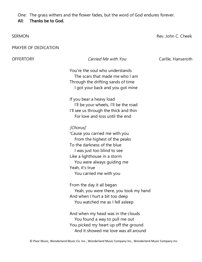One: The grass withers and the flower fades, but the word of God endures forever.

### All: Thanks be to God.

SERMON Rev. John C. Cheek

Carried Me with You Carlile, Hanseroth

You're the soul who understands The scars that made me who I am Through the drifting sands of time I got your back and you got mine

If you bear a heavy load I'll be your wheels, I'll be the road I'll see us through the thick and thin For love and loss until the end

#### [Chorus]

'Cause you carried me with you From the highest of the peaks To the darkness of the blue I was just too blind to see Like a lighthouse in a storm You were always guiding me Yeah, it's true You carried me with you

From the day it all began Yeah, you were there, you took my hand And when I hurt a bit too deep You watched me as I fell asleep

And when my head was in the clouds You found a way to pull me out You picked my heart up off the ground And it showed me love was all around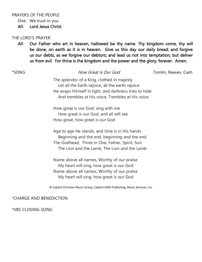#### PRAYERS OF THE PEOPLE

One: We trust in you

All: Lord Jesus Christ.

#### THE LORD'S PRAYER

All: Our Father who art in heaven, hallowed be thy name. Thy kingdom come, thy will be done, on earth as it is in heaven. Give us this day our daily bread; and forgive us our debts, as we forgive our debtors; and lead us not into temptation, but deliver us from evil. For thine is the kingdom and the power and the glory, forever. Amen.

#### \*SONG **how Great Is Our God** Tomlin, Reeves, Cash

The splendor of a King, clothed in majesty Let all the Earth rejoice, all the earth rejoice He wraps Himself in light, and darkness tries to hide And trembles at His voice, Trembles at His voice

How great is our God, sing with me How great is our God, and all will see How great, how great is our God

Age to age He stands, and time is in His hands Beginning and the end, beginning and the end The Godhead, Three in One, Father, Spirit, Son The Lion and the Lamb, The Lion and the Lamb

Name above all names, Worthy of our praise My heart will sing, how great is our God Name above all names, Worthy of our praise My heart will sing, how great is our God

© Capitol Christian Music Group, Capitol CMG Publishing, Music Services, Inc

### \*CHARGE AND BENEDICTION

\*VBS CLOSING SONG